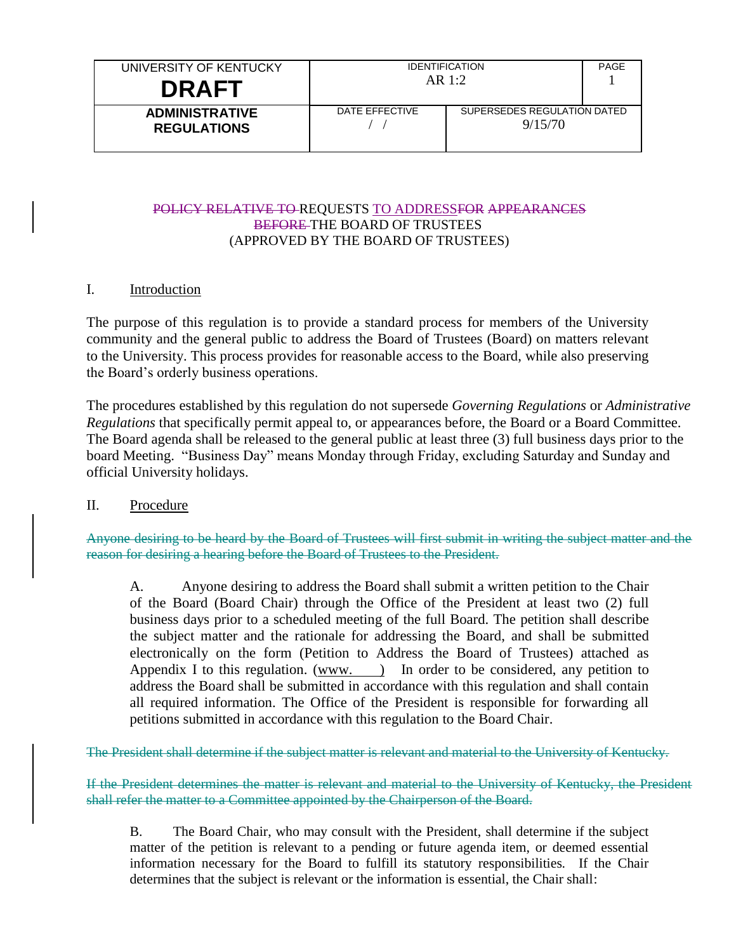| UNIVERSITY OF KENTUCKY<br><b>DRAFT</b>      | <b>IDENTIFICATION</b><br>AR 1:2 |                                        | PAGE |
|---------------------------------------------|---------------------------------|----------------------------------------|------|
| <b>ADMINISTRATIVE</b><br><b>REGULATIONS</b> | DATE FFFFCTIVE                  | SUPERSEDES REGULATION DATED<br>9/15/70 |      |

### POLICY RELATIVE TO REQUESTS TO ADDRESSFOR APPEARANCES BEFORE THE BOARD OF TRUSTEES (APPROVED BY THE BOARD OF TRUSTEES)

## I. Introduction

The purpose of this regulation is to provide a standard process for members of the University community and the general public to address the Board of Trustees (Board) on matters relevant to the University. This process provides for reasonable access to the Board, while also preserving the Board's orderly business operations.

The procedures established by this regulation do not supersede *Governing Regulations* or *Administrative Regulations* that specifically permit appeal to, or appearances before, the Board or a Board Committee. The Board agenda shall be released to the general public at least three (3) full business days prior to the board Meeting. "Business Day" means Monday through Friday, excluding Saturday and Sunday and official University holidays.

### II. Procedure

Anyone desiring to be heard by the Board of Trustees will first submit in writing the subject matter and the reason for desiring a hearing before the Board of Trustees to the President.

A. Anyone desiring to address the Board shall submit a written petition to the Chair of the Board (Board Chair) through the Office of the President at least two (2) full business days prior to a scheduled meeting of the full Board. The petition shall describe the subject matter and the rationale for addressing the Board, and shall be submitted electronically on the form (Petition to Address the Board of Trustees) attached as Appendix I to this regulation. (www. ) In order to be considered, any petition to address the Board shall be submitted in accordance with this regulation and shall contain all required information. The Office of the President is responsible for forwarding all petitions submitted in accordance with this regulation to the Board Chair.

The President shall determine if the subject matter is relevant and material to the University of Kentucky.

If the President determines the matter is relevant and material to the University of Kentucky, the President shall refer the matter to a Committee appointed by the Chairperson of the Board.

B. The Board Chair, who may consult with the President, shall determine if the subject matter of the petition is relevant to a pending or future agenda item, or deemed essential information necessary for the Board to fulfill its statutory responsibilities. If the Chair determines that the subject is relevant or the information is essential, the Chair shall: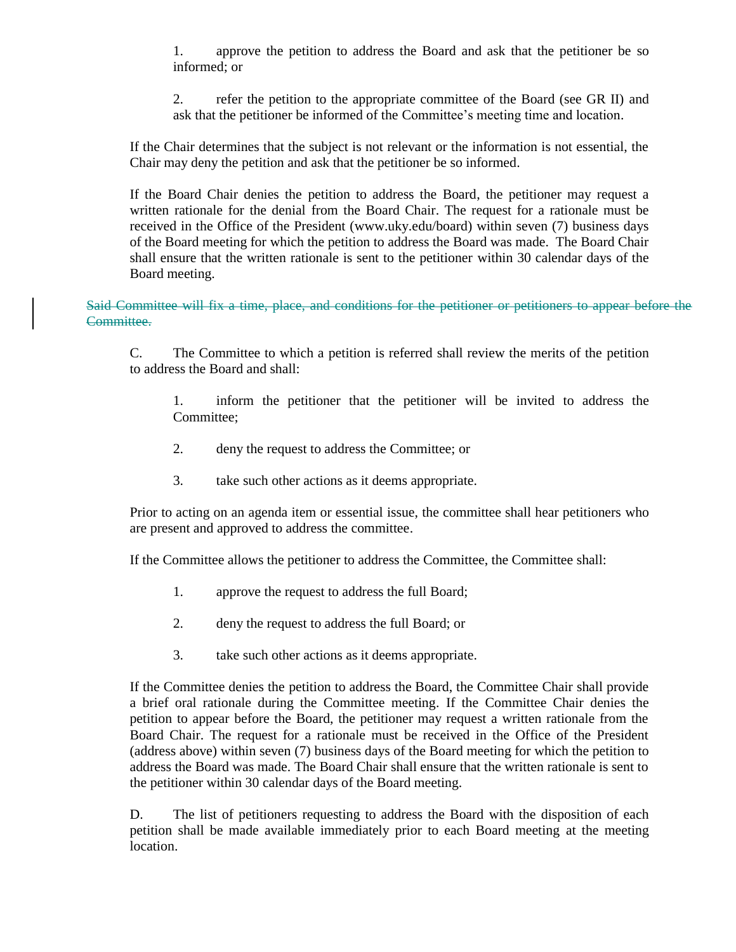1. approve the petition to address the Board and ask that the petitioner be so informed; or

2. refer the petition to the appropriate committee of the Board (see GR II) and ask that the petitioner be informed of the Committee's meeting time and location.

If the Chair determines that the subject is not relevant or the information is not essential, the Chair may deny the petition and ask that the petitioner be so informed.

If the Board Chair denies the petition to address the Board, the petitioner may request a written rationale for the denial from the Board Chair. The request for a rationale must be received in the Office of the President (www.uky.edu/board) within seven (7) business days of the Board meeting for which the petition to address the Board was made. The Board Chair shall ensure that the written rationale is sent to the petitioner within 30 calendar days of the Board meeting.

Said Committee will fix a time, place, and conditions for the petitioner or petitioners to appear before the Committee.

C. The Committee to which a petition is referred shall review the merits of the petition to address the Board and shall:

1. inform the petitioner that the petitioner will be invited to address the Committee;

- 2. deny the request to address the Committee; or
- 3. take such other actions as it deems appropriate.

Prior to acting on an agenda item or essential issue, the committee shall hear petitioners who are present and approved to address the committee.

If the Committee allows the petitioner to address the Committee, the Committee shall:

- 1. approve the request to address the full Board;
- 2. deny the request to address the full Board; or
- 3. take such other actions as it deems appropriate.

If the Committee denies the petition to address the Board, the Committee Chair shall provide a brief oral rationale during the Committee meeting. If the Committee Chair denies the petition to appear before the Board, the petitioner may request a written rationale from the Board Chair. The request for a rationale must be received in the Office of the President (address above) within seven (7) business days of the Board meeting for which the petition to address the Board was made. The Board Chair shall ensure that the written rationale is sent to the petitioner within 30 calendar days of the Board meeting.

D. The list of petitioners requesting to address the Board with the disposition of each petition shall be made available immediately prior to each Board meeting at the meeting location.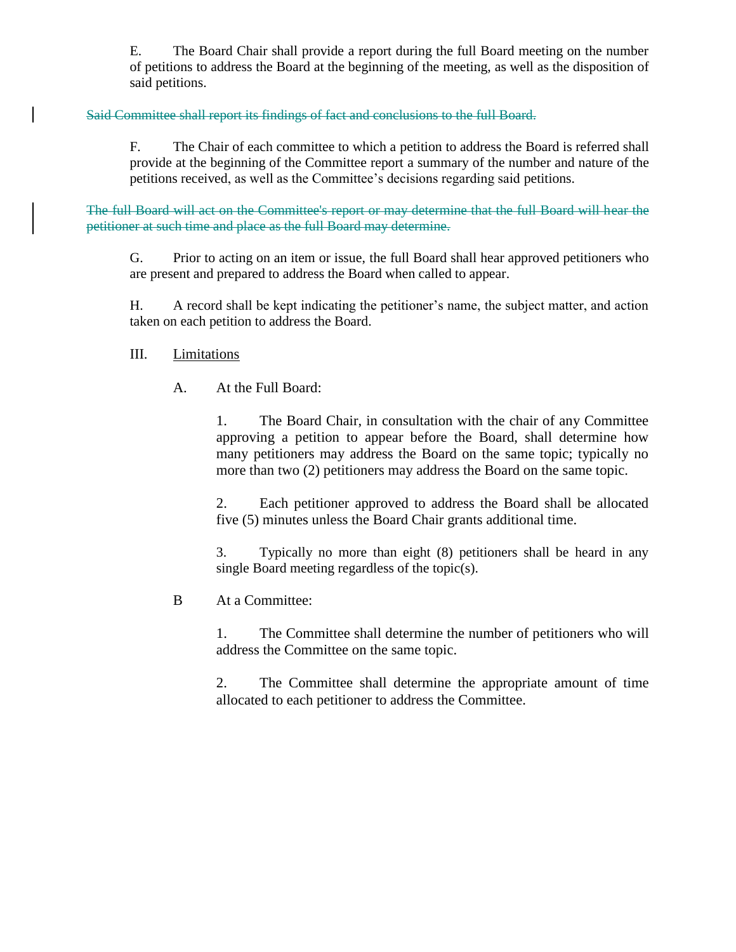E. The Board Chair shall provide a report during the full Board meeting on the number of petitions to address the Board at the beginning of the meeting, as well as the disposition of said petitions.

## Said Committee shall report its findings of fact and conclusions to the full Board.

F. The Chair of each committee to which a petition to address the Board is referred shall provide at the beginning of the Committee report a summary of the number and nature of the petitions received, as well as the Committee's decisions regarding said petitions.

The full Board will act on the Committee's report or may determine that the full Board will hear the petitioner at such time and place as the full Board may determine.

G. Prior to acting on an item or issue, the full Board shall hear approved petitioners who are present and prepared to address the Board when called to appear.

H. A record shall be kept indicating the petitioner's name, the subject matter, and action taken on each petition to address the Board.

## III. Limitations

A. At the Full Board:

1. The Board Chair, in consultation with the chair of any Committee approving a petition to appear before the Board, shall determine how many petitioners may address the Board on the same topic; typically no more than two (2) petitioners may address the Board on the same topic.

2. Each petitioner approved to address the Board shall be allocated five (5) minutes unless the Board Chair grants additional time.

3. Typically no more than eight (8) petitioners shall be heard in any single Board meeting regardless of the topic(s).

B At a Committee:

1. The Committee shall determine the number of petitioners who will address the Committee on the same topic.

2. The Committee shall determine the appropriate amount of time allocated to each petitioner to address the Committee.